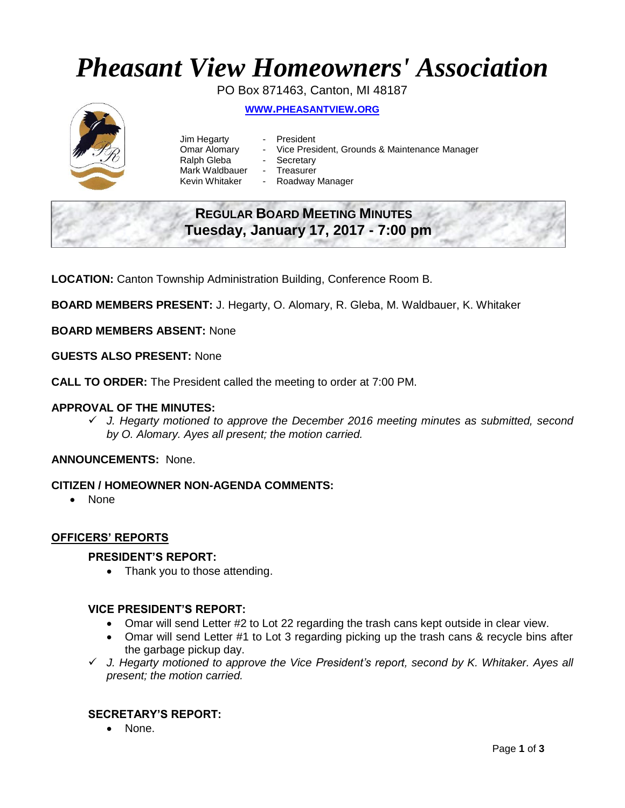# *Pheasant View Homeowners' Association*

PO Box 871463, Canton, MI 48187

# **WWW.[PHEASANTVIEW](http://www.pheasantview.org/).ORG**



Jim Hegarty - President Omar Alomary - Vice President, Grounds & Maintenance Manager Ralph Gleba - Secretary Mark Waldbauer - Treasurer<br>Kevin Whitaker - Roadway Roadway Manager

# **REGULAR BOARD MEETING MINUTES Tuesday, January 17, 2017 - 7:00 pm**

**LOCATION:** Canton Township Administration Building, Conference Room B.

**BOARD MEMBERS PRESENT:** J. Hegarty, O. Alomary, R. Gleba, M. Waldbauer, K. Whitaker

**BOARD MEMBERS ABSENT:** None

**GUESTS ALSO PRESENT:** None

**CALL TO ORDER:** The President called the meeting to order at 7:00 PM.

#### **APPROVAL OF THE MINUTES:**

 *J. Hegarty motioned to approve the December 2016 meeting minutes as submitted, second by O. Alomary. Ayes all present; the motion carried.*

#### **ANNOUNCEMENTS:** None.

#### **CITIZEN / HOMEOWNER NON-AGENDA COMMENTS:**

• None

#### **OFFICERS' REPORTS**

#### **PRESIDENT'S REPORT:**

• Thank you to those attending.

#### **VICE PRESIDENT'S REPORT:**

- Omar will send Letter #2 to Lot 22 regarding the trash cans kept outside in clear view.
- Omar will send Letter #1 to Lot 3 regarding picking up the trash cans & recycle bins after the garbage pickup day.
- *J. Hegarty motioned to approve the Vice President's report, second by K. Whitaker. Ayes all present; the motion carried.*

#### **SECRETARY'S REPORT:**

• None.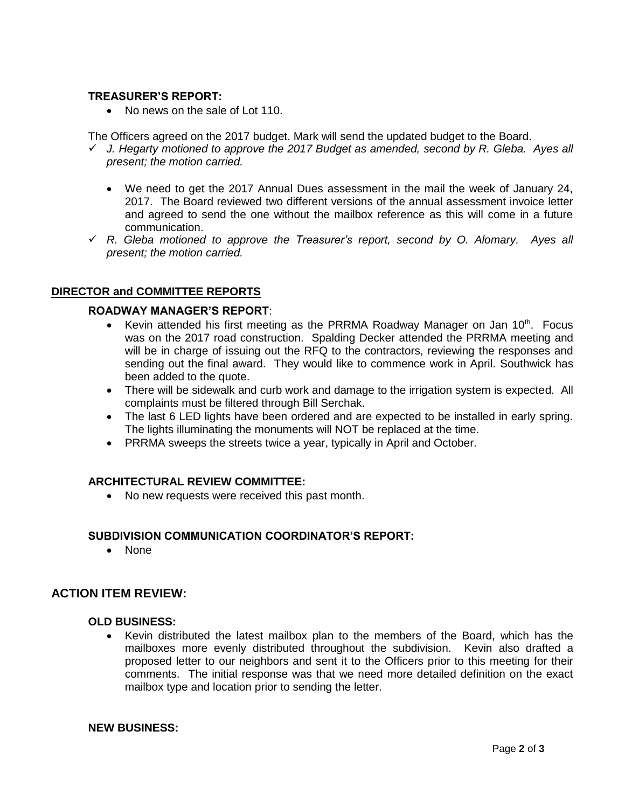#### **TREASURER'S REPORT:**

• No news on the sale of Lot 110.

The Officers agreed on the 2017 budget. Mark will send the updated budget to the Board.

- *J. Hegarty motioned to approve the 2017 Budget as amended, second by R. Gleba. Ayes all present; the motion carried.*
	- We need to get the 2017 Annual Dues assessment in the mail the week of January 24, 2017. The Board reviewed two different versions of the annual assessment invoice letter and agreed to send the one without the mailbox reference as this will come in a future communication.
- *R. Gleba motioned to approve the Treasurer's report, second by O. Alomary. Ayes all present; the motion carried.*

## **DIRECTOR and COMMITTEE REPORTS**

#### **ROADWAY MANAGER'S REPORT**:

- Kevin attended his first meeting as the PRRMA Roadway Manager on Jan  $10<sup>th</sup>$ . Focus was on the 2017 road construction. Spalding Decker attended the PRRMA meeting and will be in charge of issuing out the RFQ to the contractors, reviewing the responses and sending out the final award. They would like to commence work in April. Southwick has been added to the quote.
- There will be sidewalk and curb work and damage to the irrigation system is expected. All complaints must be filtered through Bill Serchak.
- The last 6 LED lights have been ordered and are expected to be installed in early spring. The lights illuminating the monuments will NOT be replaced at the time.
- PRRMA sweeps the streets twice a year, typically in April and October.

#### **ARCHITECTURAL REVIEW COMMITTEE:**

• No new requests were received this past month.

#### **SUBDIVISION COMMUNICATION COORDINATOR'S REPORT:**

• None

## **ACTION ITEM REVIEW:**

#### **OLD BUSINESS:**

 Kevin distributed the latest mailbox plan to the members of the Board, which has the mailboxes more evenly distributed throughout the subdivision. Kevin also drafted a proposed letter to our neighbors and sent it to the Officers prior to this meeting for their comments. The initial response was that we need more detailed definition on the exact mailbox type and location prior to sending the letter.

#### **NEW BUSINESS:**